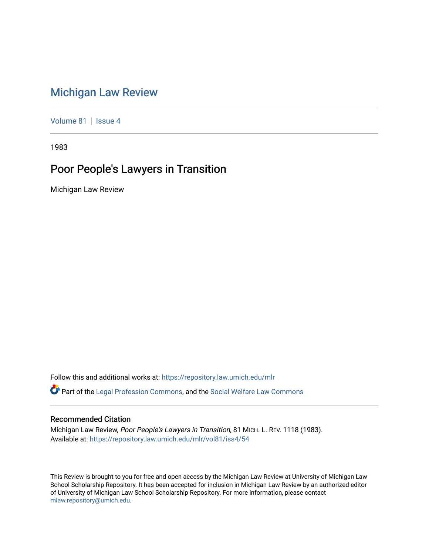## [Michigan Law Review](https://repository.law.umich.edu/mlr)

[Volume 81](https://repository.law.umich.edu/mlr/vol81) | [Issue 4](https://repository.law.umich.edu/mlr/vol81/iss4)

1983

## Poor People's Lawyers in Transition

Michigan Law Review

Follow this and additional works at: [https://repository.law.umich.edu/mlr](https://repository.law.umich.edu/mlr?utm_source=repository.law.umich.edu%2Fmlr%2Fvol81%2Fiss4%2F54&utm_medium=PDF&utm_campaign=PDFCoverPages) 

Part of the [Legal Profession Commons](http://network.bepress.com/hgg/discipline/1075?utm_source=repository.law.umich.edu%2Fmlr%2Fvol81%2Fiss4%2F54&utm_medium=PDF&utm_campaign=PDFCoverPages), and the [Social Welfare Law Commons](http://network.bepress.com/hgg/discipline/878?utm_source=repository.law.umich.edu%2Fmlr%2Fvol81%2Fiss4%2F54&utm_medium=PDF&utm_campaign=PDFCoverPages)

## Recommended Citation

Michigan Law Review, Poor People's Lawyers in Transition, 81 MICH. L. REV. 1118 (1983). Available at: [https://repository.law.umich.edu/mlr/vol81/iss4/54](https://repository.law.umich.edu/mlr/vol81/iss4/54?utm_source=repository.law.umich.edu%2Fmlr%2Fvol81%2Fiss4%2F54&utm_medium=PDF&utm_campaign=PDFCoverPages) 

This Review is brought to you for free and open access by the Michigan Law Review at University of Michigan Law School Scholarship Repository. It has been accepted for inclusion in Michigan Law Review by an authorized editor of University of Michigan Law School Scholarship Repository. For more information, please contact [mlaw.repository@umich.edu.](mailto:mlaw.repository@umich.edu)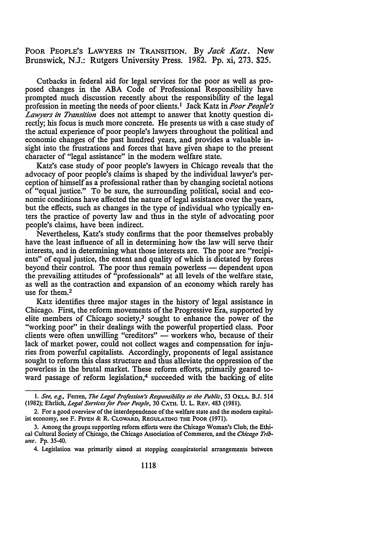POOR PEOPLE'S LAWYERS IN TRANSITION. By *Jack Katz.* New Brunswick, N.J.: Rutgers University Press. 1982. Pp. xi, 273. \$25.

Cutbacks in federal aid for legal services for the poor as well as proposed changes in the ABA Code of Professional Responsibility have prompted much discussion recently about the responsibility of the legal profession in meeting the needs of poor clients. 1 Jack Katz in *Poor People's Lawyers in Transition* does not attempt to answer that knotty question directly; his focus is much more concrete. He presents us with a case study of the actual experience of poor people's lawyers throughout the political and economic changes of the past hundred years, and provides a valuable insight into the frustrations and forces that have given shape to the present character of "legal assistance" in the modern welfare state.

Katz's case study of poor people's lawyers in Chicago reveals that the advocacy of poor people's claims is shaped by the individual lawyer's perception of himself as a professional rather than by changing societal notions of "equal justice." To be sure, the surrounding political, social and economic conditions have affected the nature of legal assistance over the years, but the effects, such as changes in the type of individual who typically enters the practice of poverty law and thus in the style of advocating poor people's claims, have been indirect.

Nevertheless, Katz's study confirms that the poor themselves probably have the least influence of all in determining how the law will serve their interests, and in determining what those interests are. The poor are "recipients" of equal justice, the extent and quality of which is dictated by forces beyond their control. The poor thus remain powerless — dependent upon the prevailing attitudes of "professionals" at all levels of the welfare state, as well as the contraction and expansion of an economy which rarely has use for them.<sup>2</sup>

Katz identifies three major stages in the history of legal assistance in Chicago. First, the reform movements of the Progressive Era, supported by elite members of Chicago society,<sup>3</sup> sought to enhance the power of the "working poor" in their dealings with the powerful propertied class. Poor clients were often unwilling "creditors"  $-$  workers who, because of their lack of market power, could not collect wages and compensation for injuries from powerful capitalists. Accordingly, proponents of legal assistance sought to reform this class structure and thus alleviate the oppression of the powerless in the brutal market. These reform efforts, primarily geared toward passage of reform legislation,<sup>4</sup> succeeded with the backing of elite

4. Legislation was primarily aimed at stopping conspiratorial arrangements between

I. *See, e.g.,* Ferren, *The Legal Profession's Responsibility to the Public,* 53 OKLA, B.J. 514 (1982); Ehrlich, *Legal Services for Poor People,* 30 CATH. U. L. REV. 483 (1981).

<sup>2.</sup> For a good overview of the interdependence of the welfare state and the modern capitalist economy, see F. PIVEN & R. CLOWARD, REGULATING THE POOR (1971).

<sup>3.</sup> Among the groups supporting reform efforts were the Chicago Woman's Club, the Ethical Cultural Society of Chicago, the Chicago Association of Commerce, and the *Chicago Tribune.* Pp. 35-40.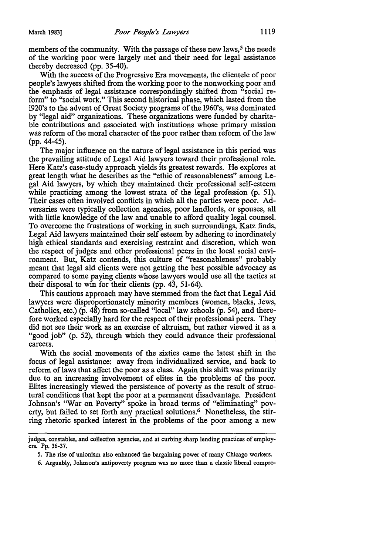members of the community. With the passage of these new laws,<sup>5</sup> the needs of the working poor were largely met and their need for legal assistance thereby decreased (pp. 35-40).

With the success of the Progressive Era movements, the clientele of poor people's lawyers shifted from the working poor to the nonworking poor and the emphasis of legal assistance correspondingly shifted from "social reform" to "social work." This second historical phase, which lasted from the 1920's to the advent of Great Society programs of the 1960's, was dominated by "legal aid" organizations. These organizations were funded by charitable contributions and associated with institutions whose primary mission was reform of the moral character of the poor rather than reform of the law (pp. 44-45).

The major influence on the nature of legal assistance in this period was the prevailing attitude of Legal Aid lawyers toward their professional role. Here Katz's case-study approach yields its greatest rewards. He explores at great length what he describes as the "ethic of reasonableness" among Legal Aid lawyers, by which they maintained their professional self-esteem while practicing among the lowest strata of the legal profession (p. 51). Their cases often involved conflicts in which all the parties were poor. Adversaries were typically collection agencies, poor landlords, or spouses, all with little knowledge of the law and unable to afford quality legal counsel. To overcome the frustrations of working in such surroundings, Katz finds, Legal Aid lawyers maintained their self esteem by adhering to inordinately high ethical standards and exercising restraint and discretion, which won the respect of judges and other professional peers in the local social environment. But, Katz contends, this culture of "reasonableness" probably meant that legal aid clients were not getting the best possible advocacy as compared to some paying clients whose lawyers would use all the tactics at their disposal to win for their clients (pp. 43, 51-64).

This cautious approach may have stemmed from the fact that Legal Aid lawyers were disproportionately minority members (women, blacks, Jews, Catholics, etc.) (p. 48) from so-called "local" law schools (p. 54), and therefore worked especially hard for the respect of their professional peers. They did not see their work as an exercise of altruism, but rather viewed it as a "good job" (p. 52), through which they could advance their professional careers.

With the social movements of the sixties came the latest shift in the focus of legal assistance: away from individualized service, and back to reform of laws that affect the poor as a class. Again this shift was primarily due to an increasing involvement of elites in the problems of the poor. Elites increasingly viewed the persistence of poverty as the result of structural conditions that kept the poor at a permanent disadvantage. President Johnson's "War on Poverty" spoke in broad terms of "eliminating" poverty, but failed to set forth any practical solutions.6 Nonetheless, the stirring rhetoric sparked interest in the problems of the poor among a new

6. Arguably, Johnson's antipoverty program was no more than a classic liberal compro-

judges, constables, and collection agencies, and at curbing sharp lending practices of employers. Pp. 36-37.

<sup>5.</sup> The rise of unionism also enhanced the bargaining power of many Chicago workers.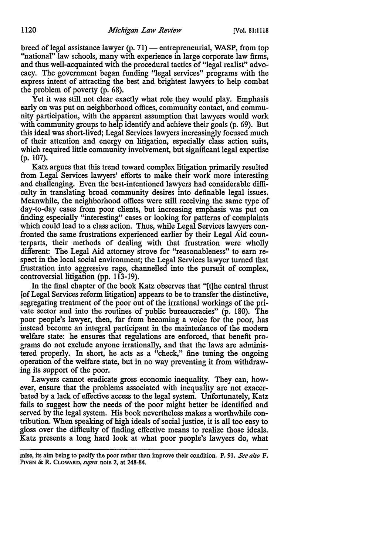breed of legal assistance lawyer (p. 71) — entrepreneurial, WASP, from top "national" law schools, many with experience in large corporate law firms, and thus well-acquainted with the procedural tactics of "legal realist" advocacy. The government began funding "legal services" programs with the express intent of attracting the best and brightest lawyers to help combat the problem of poverty (p. 68).

Yet it was still not clear exactly what role they would play. Emphasis early on was put on neighborhood offices, community contact, and community participation, with the apparent assumption that lawyers would work with community groups to help identify and achieve their goals (p. 69). But this ideal was short-lived; Legal Services lawyers increasingly focused much of their attention and energy on litigation, especially class action suits, which required little community involvement, but significant legal expertise (p. 107).

Katz argues that this trend toward complex litigation primarily resulted from Legal Services lawyers' efforts to make their work more interesting and challenging. Even the best-intentioned lawyers had considerable difficulty in translating broad community desires into definable legal issues. Meanwhile, the neighborhood offices were still receiving the same type of day-to-day cases from poor clients, but increasing emphasis was put on finding especially "interesting" cases or looking for patterns of complaints which could lead to a class action. Thus, while Legal Services lawyers confronted the same frustrations experienced earlier by their Legal Aid counterparts, their methods of dealing with that frustration were wholly different: The Legal Aid attorney strove for "reasonableness" to earn respect in the local social environment; the Legal Services lawyer turned that frustration into aggressive rage, channelled into the pursuit of complex, controversial litigation (pp. 113-19).

In the final chapter of the book Katz observes that "[t]he central thrust [of Legal Services reform litigation] appears to be to transfer the distinctive, segregating treatment of the poor out of the irrational workings of the private sector and into the routines of public bureaucracies" (p. 180). The poor people's lawyer, then, far from becoming a voice for the poor, has instead become an integral participant in the maintenance of the modem welfare state: he ensures that regulations are enforced, that benefit programs do not exclude anyone irrationally, and that the laws are administered properly. In short, he acts as a "check," fine tuning the ongoing operation of the welfare state, but in no way preventing it from withdrawing its support of the poor.

Lawyers cannot eradicate gross economic inequality. They can, however, ensure that the problems associated with inequality are not exacerbated by a lack of effective access to the legal system. Unfortunately, Katz fails to suggest how the needs of the poor might better be identified and served by the legal system. His book nevertheless makes a worthwhile contribution. When speaking of high ideals of social justice, it is all too easy to gloss over the difficulty of finding effective means to realize those ideals. Katz presents a long hard look at what poor people's lawyers do, what

mise, its aim being to pacify the poor rather than improve their condition. P. 91. *See also* F. PlvEN & R. CLOWARD, *supra* note 2, at 248-84.